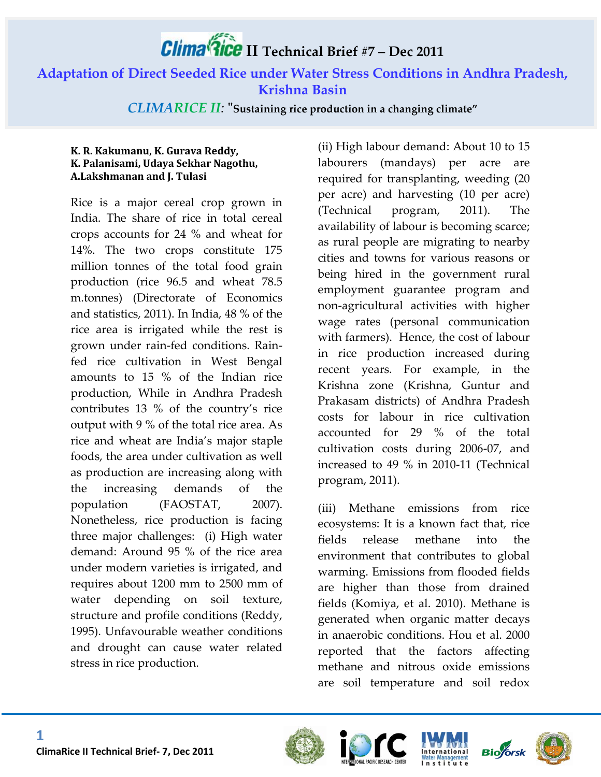# **II Technical Brief #7 – Dec 2011**

**Adaptation of Direct Seeded Rice under Water Stress Conditions in Andhra Pradesh, Krishna Basin**

*CLIMARICE II:* **"Sustaining rice production in a changing climate"**

#### **K. R. Kakumanu, K. Gurava Reddy, K. Palanisami, Udaya Sekhar Nagothu, A.Lakshmanan and J. Tulasi**

Rice is a major cereal crop grown in India. The share of rice in total cereal crops accounts for 24 % and wheat for 14%. The two crops constitute 175 million tonnes of the total food grain production (rice 96.5 and wheat 78.5 m.tonnes) (Directorate of Economics and statistics, 2011). In India, 48 % of the rice area is irrigated while the rest is grown under rain-fed conditions. Rainfed rice cultivation in West Bengal amounts to 15 % of the Indian rice production, While in Andhra Pradesh contributes 13 % of the country's rice output with 9 % of the total rice area. As rice and wheat are India's major staple foods, the area under cultivation as well as production are increasing along with the increasing demands of the population (FAOSTAT, 2007). Nonetheless, rice production is facing three major challenges: (i) High water demand: Around 95 % of the rice area under modern varieties is irrigated, and requires about 1200 mm to 2500 mm of water depending on soil texture, structure and profile conditions (Reddy, 1995). Unfavourable weather conditions and drought can cause water related stress in rice production.

(ii) High labour demand: About 10 to 15 labourers (mandays) per acre are required for transplanting, weeding (20 per acre) and harvesting (10 per acre) (Technical program, 2011). The availability of labour is becoming scarce; as rural people are migrating to nearby cities and towns for various reasons or being hired in the government rural employment guarantee program and non-agricultural activities with higher wage rates (personal communication with farmers). Hence, the cost of labour in rice production increased during recent years. For example, in the Krishna zone (Krishna, Guntur and Prakasam districts) of Andhra Pradesh costs for labour in rice cultivation accounted for 29 % of the total cultivation costs during 2006-07, and increased to 49 % in 2010-11 (Technical program, 2011).

(iii) Methane emissions from rice ecosystems: It is a known fact that, rice fields release methane into the environment that contributes to global warming. Emissions from flooded fields are higher than those from drained fields (Komiya, et al. 2010). Methane is generated when organic matter decays in anaerobic conditions. Hou et al. 2000 reported that the factors affecting methane and nitrous oxide emissions are soil temperature and soil redox







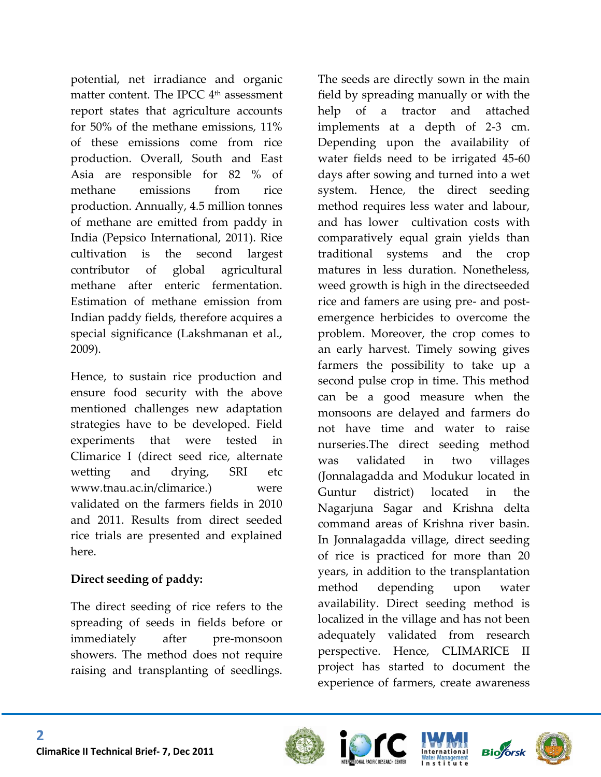potential, net irradiance and organic matter content. The IPCC 4<sup>th</sup> assessment report states that agriculture accounts for 50% of the methane emissions, 11% of these emissions come from rice production. Overall, South and East Asia are responsible for 82 % of methane emissions from rice production. Annually, 4.5 million tonnes of methane are emitted from paddy in India (Pepsico International, 2011). Rice cultivation is the second largest contributor of global agricultural methane after enteric fermentation. Estimation of methane emission from Indian paddy fields, therefore acquires a special significance (Lakshmanan et al., 2009).

Hence, to sustain rice production and ensure food security with the above mentioned challenges new adaptation strategies have to be developed. Field experiments that were tested in Climarice I (direct seed rice, alternate wetting and drying, SRI etc www.tnau.ac.in/climarice.) were validated on the farmers fields in 2010 and 2011. Results from direct seeded rice trials are presented and explained here.

#### **Direct seeding of paddy:**

The direct seeding of rice refers to the spreading of seeds in fields before or immediately after pre-monsoon showers. The method does not require raising and transplanting of seedlings.

The seeds are directly sown in the main field by spreading manually or with the help of a tractor and attached implements at a depth of 2-3 cm. Depending upon the availability of water fields need to be irrigated 45-60 days after sowing and turned into a wet system. Hence, the direct seeding method requires less water and labour, and has lower cultivation costs with comparatively equal grain yields than traditional systems and the crop matures in less duration. Nonetheless, weed growth is high in the directseeded rice and famers are using pre- and postemergence herbicides to overcome the problem. Moreover, the crop comes to an early harvest. Timely sowing gives farmers the possibility to take up a second pulse crop in time. This method can be a good measure when the monsoons are delayed and farmers do not have time and water to raise nurseries.The direct seeding method was validated in two villages (Jonnalagadda and Modukur located in Guntur district) located in the Nagarjuna Sagar and Krishna delta command areas of Krishna river basin. In Jonnalagadda village, direct seeding of rice is practiced for more than 20 years, in addition to the transplantation method depending upon water availability. Direct seeding method is localized in the village and has not been adequately validated from research perspective. Hence, CLIMARICE II project has started to document the experience of farmers, create awareness







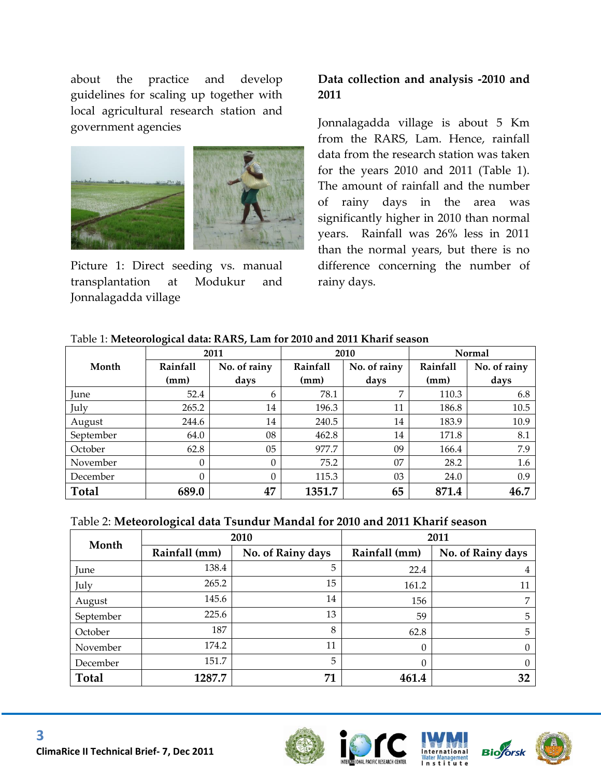about the practice and develop guidelines for scaling up together with local agricultural research station and government agencies



Picture 1: Direct seeding vs. manual transplantation at Modukur and Jonnalagadda village

#### **Data collection and analysis -2010 and 2011**

Jonnalagadda village is about 5 Km from the RARS, Lam. Hence, rainfall data from the research station was taken for the years 2010 and 2011 (Table 1). The amount of rainfall and the number of rainy days in the area was significantly higher in 2010 than normal years. Rainfall was 26% less in 2011 than the normal years, but there is no difference concerning the number of rainy days.

| Table 1: Meteorological data: RARS, Lam for 2010 and 2011 Kharif season |
|-------------------------------------------------------------------------|
|-------------------------------------------------------------------------|

|              | ັ<br>2011       |              | 2010     |              | Normal          |              |
|--------------|-----------------|--------------|----------|--------------|-----------------|--------------|
| Month        | <b>Rainfall</b> | No. of rainy | Rainfall | No. of rainy | <b>Rainfall</b> | No. of rainy |
|              | (mm)            | days         | (mm)     | days         | (mm)            | days         |
| June         | 52.4            | 6            | 78.1     | 7            | 110.3           | 6.8          |
| July         | 265.2           | 14           | 196.3    | 11           | 186.8           | 10.5         |
| August       | 244.6           | 14           | 240.5    | 14           | 183.9           | 10.9         |
| September    | 64.0            | 08           | 462.8    | 14           | 171.8           | 8.1          |
| October      | 62.8            | 05           | 977.7    | 09           | 166.4           | 7.9          |
| November     | $\Omega$        | $\Omega$     | 75.2     | 07           | 28.2            | 1.6          |
| December     | $\Omega$        | $\theta$     | 115.3    | 03           | 24.0            | 0.9          |
| <b>Total</b> | 689.0           | 47           | 1351.7   | 65           | 871.4           | 46.7         |

| Table 2: Meteorological data Tsundur Mandal for 2010 and 2011 Kharif season |  |  |
|-----------------------------------------------------------------------------|--|--|
|                                                                             |  |  |

| Month        |               | 2010              | 2011          |                   |  |
|--------------|---------------|-------------------|---------------|-------------------|--|
|              | Rainfall (mm) | No. of Rainy days | Rainfall (mm) | No. of Rainy days |  |
| June         | 138.4         | 5                 | 22.4          | 4                 |  |
| July         | 265.2         | 15                | 161.2         | 11                |  |
| August       | 145.6         | 14                | 156           |                   |  |
| September    | 225.6         | 13                | 59            | 5                 |  |
| October      | 187           | 8                 | 62.8          | 5                 |  |
| November     | 174.2         | 11                | $\Omega$      |                   |  |
| December     | 151.7         | 5                 | $\Omega$      | 0                 |  |
| <b>Total</b> | 1287.7        | 71                | 461.4         | 32                |  |







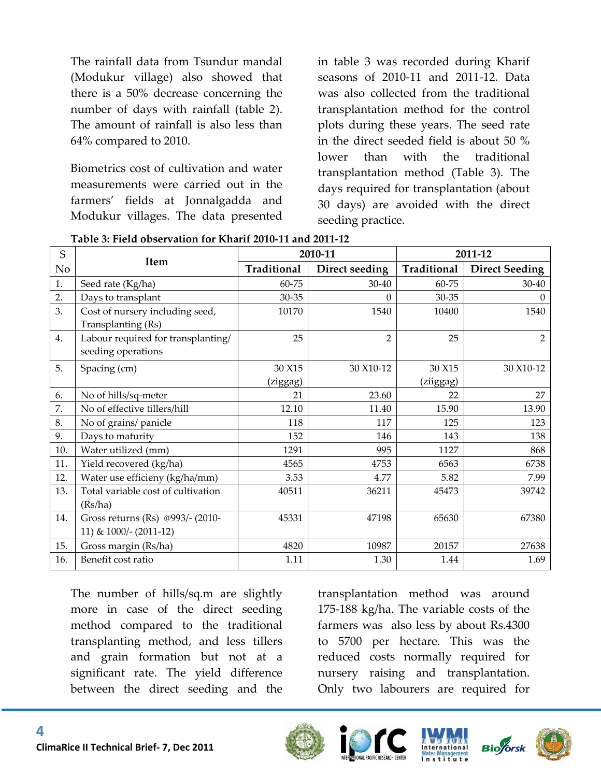The rainfall data from Tsundur mandal (Modukur village) also showed that there is a 50% decrease concerning the number of days with rainfall (table 2). The amount of rainfall is also less than 64% compared to 2010.

Biometrics cost of cultivation and water measurements were carried out in the farmers' fields at Jonnalgadda and Modukur villages. The data presented in table 3 was recorded during Kharif seasons of 2010-11 and 2011-12. Data was also collected from the traditional transplantation method for the control plots during these years. The seed rate in the direct seeded field is about 50 % lower than with the traditional transplantation method (Table 3). The days required for transplantation (about 30 days) are avoided with the direct seeding practice.

| S              |                                    |             | 2010-11        | 2011-12     |                       |  |
|----------------|------------------------------------|-------------|----------------|-------------|-----------------------|--|
| N <sub>o</sub> | <b>Item</b>                        | Traditional | Direct seeding | Traditional | <b>Direct Seeding</b> |  |
| 1.             | Seed rate (Kg/ha)                  | 60-75       | $30 - 40$      | 60-75       | 30-40                 |  |
| 2.             | Days to transplant                 | 30-35       | $\Omega$       | 30-35       | $\theta$              |  |
| 3.             | Cost of nursery including seed,    | 10170       | 1540           | 10400       | 1540                  |  |
|                | Transplanting (Rs)                 |             |                |             |                       |  |
| 4.             | Labour required for transplanting/ | 25          | $\overline{2}$ | 25          | 2                     |  |
|                | seeding operations                 |             |                |             |                       |  |
| 5.             | Spacing (cm)                       | 30 X15      | 30 X10-12      | 30 X15      | 30 X10-12             |  |
|                |                                    | (ziggag)    |                | (ziiggag)   |                       |  |
| 6.             | No of hills/sq-meter               | 21          | 23.60          | 22          | 27                    |  |
| 7.             | No of effective tillers/hill       | 12.10       | 11.40          | 15.90       | 13.90                 |  |
| 8.             | No of grains/ panicle              | 118         | 117            | 125         | 123                   |  |
| 9.             | Days to maturity                   | 152         | 146            | 143         | 138                   |  |
| 10.            | Water utilized (mm)                | 1291        | 995            | 1127        | 868                   |  |
| 11.            | Yield recovered (kg/ha)            | 4565        | 4753           | 6563        | 6738                  |  |
| 12.            | Water use efficieny (kg/ha/mm)     | 3.53        | 4.77           | 5.82        | 7.99                  |  |
| 13.            | Total variable cost of cultivation | 40511       | 36211          | 45473       | 39742                 |  |
|                | (Rs/ha)                            |             |                |             |                       |  |
| 14.            | Gross returns (Rs) @993/- (2010-   | 45331       | 47198          | 65630       | 67380                 |  |
|                | 11) & 1000/- (2011-12)             |             |                |             |                       |  |
| 15.            | Gross margin (Rs/ha)               | 4820        | 10987          | 20157       | 27638                 |  |
| 16.            | Benefit cost ratio                 | 1.11        | 1.30           | 1.44        | 1.69                  |  |

**Table 3: Field observation for Kharif 2010-11 and 2011-12**

The number of hills/sq.m are slightly more in case of the direct seeding method compared to the traditional transplanting method, and less tillers and grain formation but not at a significant rate. The yield difference between the direct seeding and the transplantation method was around 175-188 kg/ha. The variable costs of the farmers was also less by about Rs.4300 to 5700 per hectare. This was the reduced costs normally required for nursery raising and transplantation. Only two labourers are required for







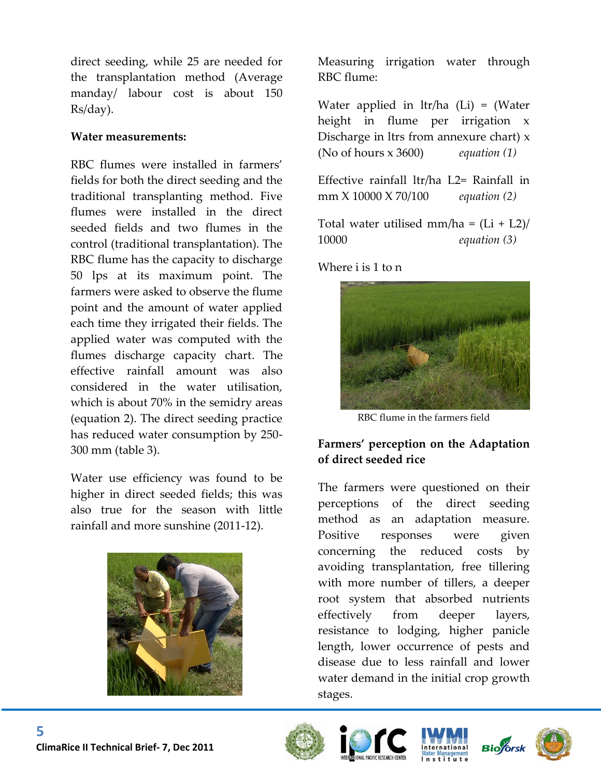direct seeding, while 25 are needed for the transplantation method (Average manday/ labour cost is about 150 Rs/day).

#### **Water measurements:**

RBC flumes were installed in farmers' fields for both the direct seeding and the traditional transplanting method. Five flumes were installed in the direct seeded fields and two flumes in the control (traditional transplantation). The RBC flume has the capacity to discharge 50 lps at its maximum point. The farmers were asked to observe the flume point and the amount of water applied each time they irrigated their fields. The applied water was computed with the flumes discharge capacity chart. The effective rainfall amount was also considered in the water utilisation, which is about 70% in the semidry areas (equation 2). The direct seeding practice has reduced water consumption by 250- 300 mm (table 3).

Water use efficiency was found to be higher in direct seeded fields; this was also true for the season with little rainfall and more sunshine (2011-12).



Measuring irrigation water through RBC flume:

Water applied in ltr/ha (Li) = (Water height in flume per irrigation x Discharge in ltrs from annexure chart)  $x$ (No of hours x 3600) *equation (1)*

Effective rainfall ltr/ha L2= Rainfall in mm X 10000 X 70/100 *equation (2)*

Total water utilised mm/ha =  $(Li + L2)/$ 10000 *equation (3)*

Where i is 1 to n



RBC flume in the farmers field

#### **Farmers' perception on the Adaptation of direct seeded rice**

The farmers were questioned on their perceptions of the direct seeding method as an adaptation measure. Positive responses were given concerning the reduced costs by avoiding transplantation, free tillering with more number of tillers, a deeper root system that absorbed nutrients effectively from deeper layers, resistance to lodging, higher panicle length, lower occurrence of pests and disease due to less rainfall and lower water demand in the initial crop growth stages.









**5**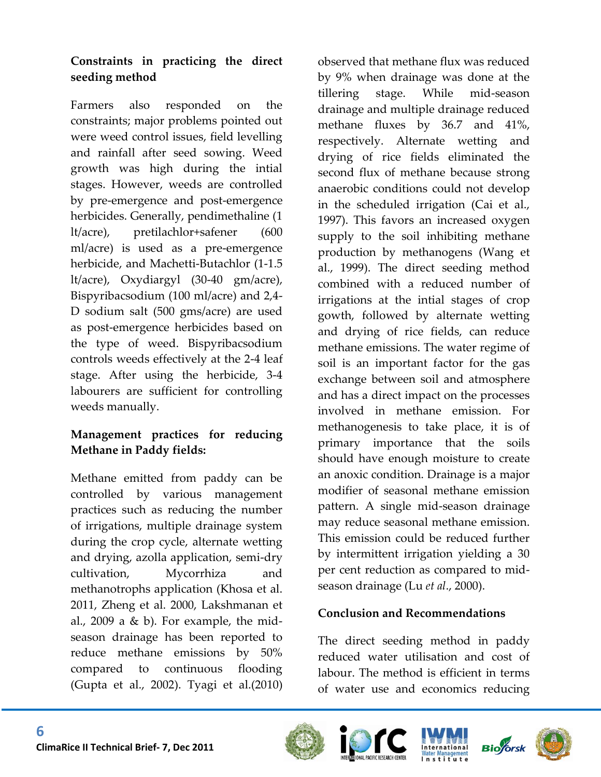#### **Constraints in practicing the direct seeding method**

Farmers also responded on the constraints; major problems pointed out were weed control issues, field levelling and rainfall after seed sowing. Weed growth was high during the intial stages. However, weeds are controlled by pre-emergence and post-emergence herbicides. Generally, pendimethaline (1 lt/acre), pretilachlor+safener (600 ml/acre) is used as a pre-emergence herbicide, and Machetti-Butachlor (1-1.5 lt/acre), Oxydiargyl (30-40 gm/acre), Bispyribacsodium (100 ml/acre) and 2,4- D sodium salt (500 gms/acre) are used as post-emergence herbicides based on the type of weed. Bispyribacsodium controls weeds effectively at the 2-4 leaf stage. After using the herbicide, 3-4 labourers are sufficient for controlling weeds manually.

#### **Management practices for reducing Methane in Paddy fields:**

Methane emitted from paddy can be controlled by various management practices such as reducing the number of irrigations, multiple drainage system during the crop cycle, alternate wetting and drying, azolla application, semi-dry cultivation, Mycorrhiza and methanotrophs application (Khosa et al. 2011, Zheng et al. 2000, Lakshmanan et al., 2009 a  $& b$ ). For example, the midseason drainage has been reported to reduce methane emissions by 50% compared to continuous flooding (Gupta et al., 2002). Tyagi et al.(2010) observed that methane flux was reduced by 9% when drainage was done at the tillering stage. While mid-season drainage and multiple drainage reduced methane fluxes by 36.7 and 41%, respectively. Alternate wetting and drying of rice fields eliminated the second flux of methane because strong anaerobic conditions could not develop in the scheduled irrigation (Cai et al., 1997). This favors an increased oxygen supply to the soil inhibiting methane production by methanogens (Wang et al., 1999). The direct seeding method combined with a reduced number of irrigations at the intial stages of crop gowth, followed by alternate wetting and drying of rice fields, can reduce methane emissions. The water regime of soil is an important factor for the gas exchange between soil and atmosphere and has a direct impact on the processes involved in methane emission. For methanogenesis to take place, it is of primary importance that the soils should have enough moisture to create an anoxic condition. Drainage is a major modifier of seasonal methane emission pattern. A single mid-season drainage may reduce seasonal methane emission. This emission could be reduced further by intermittent irrigation yielding a 30 per cent reduction as compared to midseason drainage (Lu *et al*., 2000).

#### **Conclusion and Recommendations**

The direct seeding method in paddy reduced water utilisation and cost of labour. The method is efficient in terms of water use and economics reducing







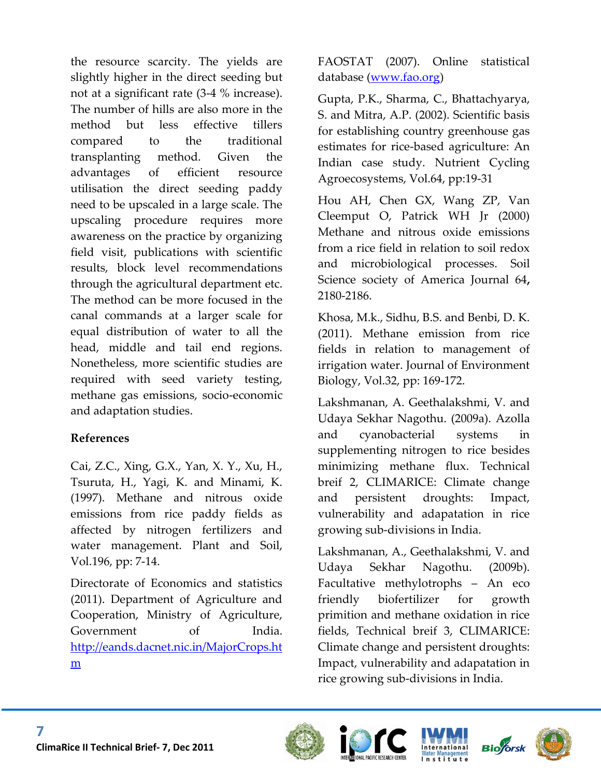the resource scarcity. The yields are slightly higher in the direct seeding but not at a significant rate (3-4 % increase). The number of hills are also more in the method but less effective tillers compared to the traditional transplanting method. Given the advantages of efficient resource utilisation the direct seeding paddy need to be upscaled in a large scale. The upscaling procedure requires more awareness on the practice by organizing field visit, publications with scientific results, block level recommendations through the agricultural department etc. The method can be more focused in the canal commands at a larger scale for equal distribution of water to all the head, middle and tail end regions. Nonetheless, more scientific studies are required with seed variety testing, methane gas emissions, socio-economic and adaptation studies.

#### **References**

Cai, Z.C., Xing, G.X., Yan, X. Y., Xu, H., Tsuruta, H., Yagi, K. and Minami, K. (1997). Methane and nitrous oxide emissions from rice paddy fields as affected by nitrogen fertilizers and water management. Plant and Soil, Vol.196, pp: 7-14.

Directorate of Economics and statistics (2011). Department of Agriculture and Cooperation, Ministry of Agriculture, Government of India. [http://eands.dacnet.nic.in/MajorCrops.ht](http://eands.dacnet.nic.in/MajorCrops.htm) [m](http://eands.dacnet.nic.in/MajorCrops.htm)

FAOSTAT (2007). Online statistical database [\(www.fao.org\)](http://www.fao.org/)

Gupta, P.K., Sharma, C., Bhattachyarya, S. and Mitra, A.P. (2002). Scientific basis for establishing country greenhouse gas estimates for rice-based agriculture: An Indian case study. Nutrient Cycling Agroecosystems, Vol.64, pp:19-31

Hou AH, Chen GX, Wang ZP, Van Cleemput O, Patrick WH Jr (2000) Methane and nitrous oxide emissions from a rice field in relation to soil redox and microbiological processes. Soil Science society of America Journal 64**,**  2180-2186.

Khosa, M.k., Sidhu, B.S. and Benbi, D. K. (2011). Methane emission from rice fields in relation to management of irrigation water. Journal of Environment Biology, Vol.32, pp: 169-172.

Lakshmanan, A. Geethalakshmi, V. and Udaya Sekhar Nagothu. (2009a). Azolla and cyanobacterial systems in supplementing nitrogen to rice besides minimizing methane flux. Technical breif 2, CLIMARICE: Climate change and persistent droughts: Impact, vulnerability and adapatation in rice growing sub-divisions in India.

Lakshmanan, A., Geethalakshmi, V. and Udaya Sekhar Nagothu. (2009b). Facultative methylotrophs – An eco friendly biofertilizer for growth primition and methane oxidation in rice fields, Technical breif 3, CLIMARICE: Climate change and persistent droughts: Impact, vulnerability and adapatation in rice growing sub-divisions in India.